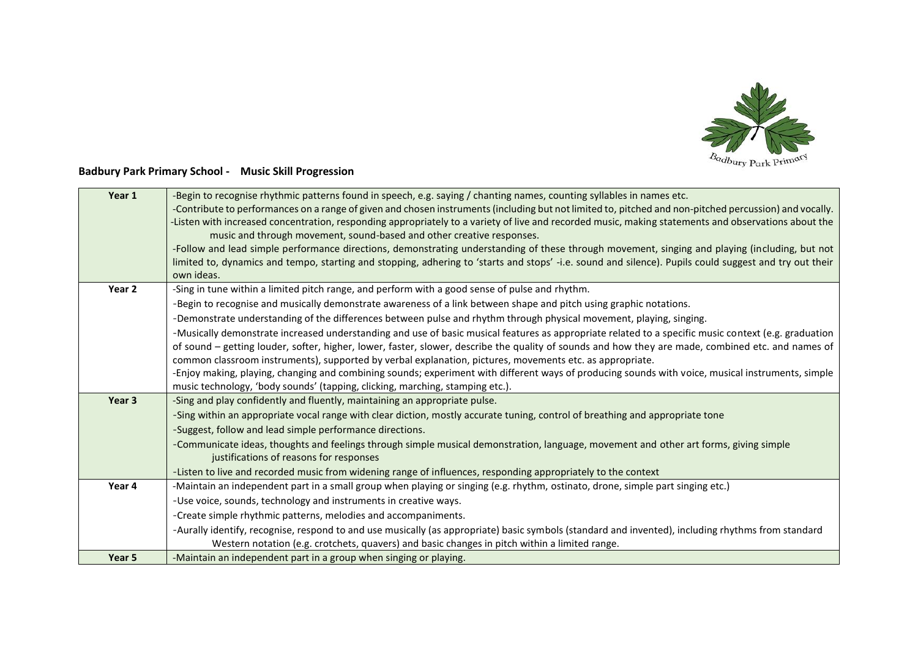

## **Badbury Park Primary School - Music Skill Progression**

| Year 1            | -Begin to recognise rhythmic patterns found in speech, e.g. saying / chanting names, counting syllables in names etc.                                  |
|-------------------|--------------------------------------------------------------------------------------------------------------------------------------------------------|
|                   | -Contribute to performances on a range of given and chosen instruments (including but not limited to, pitched and non-pitched percussion) and vocally. |
|                   | -Listen with increased concentration, responding appropriately to a variety of live and recorded music, making statements and observations about the   |
|                   | music and through movement, sound-based and other creative responses.                                                                                  |
|                   | -Follow and lead simple performance directions, demonstrating understanding of these through movement, singing and playing (including, but not         |
|                   | limited to, dynamics and tempo, starting and stopping, adhering to 'starts and stops' -i.e. sound and silence). Pupils could suggest and try out their |
|                   | own ideas.                                                                                                                                             |
| Year 2            | -Sing in tune within a limited pitch range, and perform with a good sense of pulse and rhythm.                                                         |
|                   | -Begin to recognise and musically demonstrate awareness of a link between shape and pitch using graphic notations.                                     |
|                   | -Demonstrate understanding of the differences between pulse and rhythm through physical movement, playing, singing.                                    |
|                   | -Musically demonstrate increased understanding and use of basic musical features as appropriate related to a specific music context (e.g. graduation   |
|                   | of sound – getting louder, softer, higher, lower, faster, slower, describe the quality of sounds and how they are made, combined etc. and names of     |
|                   | common classroom instruments), supported by verbal explanation, pictures, movements etc. as appropriate.                                               |
|                   | -Enjoy making, playing, changing and combining sounds; experiment with different ways of producing sounds with voice, musical instruments, simple      |
|                   | music technology, 'body sounds' (tapping, clicking, marching, stamping etc.).                                                                          |
| Year <sub>3</sub> | -Sing and play confidently and fluently, maintaining an appropriate pulse.                                                                             |
|                   | -Sing within an appropriate vocal range with clear diction, mostly accurate tuning, control of breathing and appropriate tone                          |
|                   | -Suggest, follow and lead simple performance directions.                                                                                               |
|                   | -Communicate ideas, thoughts and feelings through simple musical demonstration, language, movement and other art forms, giving simple                  |
|                   | justifications of reasons for responses                                                                                                                |
|                   | -Listen to live and recorded music from widening range of influences, responding appropriately to the context                                          |
| Year 4            | -Maintain an independent part in a small group when playing or singing (e.g. rhythm, ostinato, drone, simple part singing etc.)                        |
|                   | -Use voice, sounds, technology and instruments in creative ways.                                                                                       |
|                   | -Create simple rhythmic patterns, melodies and accompaniments.                                                                                         |
|                   | -Aurally identify, recognise, respond to and use musically (as appropriate) basic symbols (standard and invented), including rhythms from standard     |
|                   | Western notation (e.g. crotchets, quavers) and basic changes in pitch within a limited range.                                                          |
| Year 5            | -Maintain an independent part in a group when singing or playing.                                                                                      |